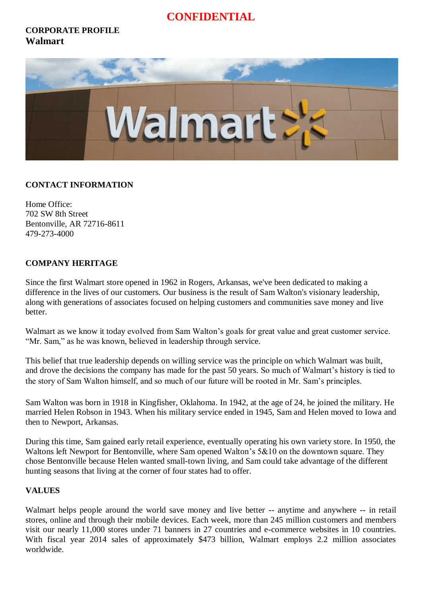# **CONFIDENTIAL**

## **CORPORATE PROFILE Walmart**



### **CONTACT INFORMATION**

Home Office: 702 SW 8th Street Bentonville, AR 72716-8611 479-273-4000

### **COMPANY HERITAGE**

Since the first Walmart store opened in 1962 in Rogers, Arkansas, we've been dedicated to making a difference in the lives of our customers. Our business is the result of Sam Walton's visionary leadership, along with generations of associates focused on helping customers and communities save money and live better.

Walmart as we know it today evolved from Sam Walton's goals for great value and great customer service. "Mr. Sam," as he was known, believed in leadership through service.

This belief that true leadership depends on willing service was the principle on which Walmart was built, and drove the decisions the company has made for the past 50 years. So much of Walmart's history is tied to the story of Sam Walton himself, and so much of our future will be rooted in Mr. Sam's principles.

Sam Walton was born in 1918 in Kingfisher, Oklahoma. In 1942, at the age of 24, he joined the military. He married Helen Robson in 1943. When his military service ended in 1945, Sam and Helen moved to Iowa and then to Newport, Arkansas.

During this time, Sam gained early retail experience, eventually operating his own variety store. In 1950, the Waltons left Newport for Bentonville, where Sam opened Walton's 5&10 on the downtown square. They chose Bentonville because Helen wanted small-town living, and Sam could take advantage of the different hunting seasons that living at the corner of four states had to offer.

### **VALUES**

Walmart helps people around the world save money and live better -- anytime and anywhere -- in retail stores, online and through their mobile devices. Each week, more than 245 million customers and members visit our nearly 11,000 stores under 71 banners in 27 countries and e-commerce websites in 10 countries. With fiscal year 2014 sales of approximately \$473 billion, Walmart employs 2.2 million associates worldwide.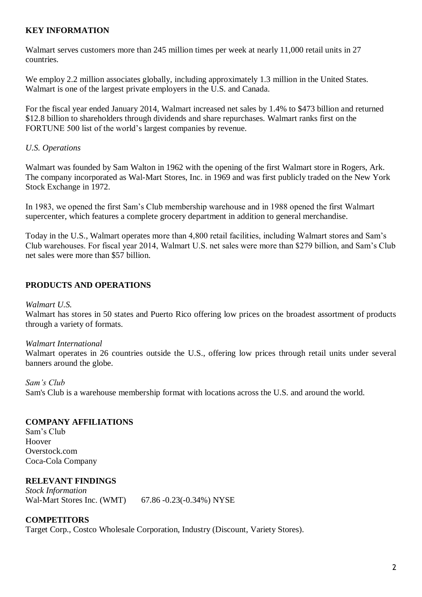### **KEY INFORMATION**

Walmart serves customers more than 245 million times per week at nearly 11,000 retail units in 27 countries.

We employ 2.2 million associates globally, including approximately 1.3 million in the United States. Walmart is one of the largest private employers in the U.S. and Canada.

For the fiscal year ended January 2014, Walmart increased net sales by 1.4% to \$473 billion and returned \$12.8 billion to shareholders through dividends and share repurchases. Walmart ranks first on the FORTUNE 500 list of the world's largest companies by revenue.

### *U.S. Operations*

Walmart was founded by Sam Walton in 1962 with the opening of the first Walmart store in Rogers, Ark. The company incorporated as Wal-Mart Stores, Inc. in 1969 and was first publicly traded on the New York Stock Exchange in 1972.

In 1983, we opened the first Sam's Club membership warehouse and in 1988 opened the first Walmart supercenter, which features a complete grocery department in addition to general merchandise.

Today in the U.S., Walmart operates more than 4,800 retail facilities, including Walmart stores and Sam's Club warehouses. For fiscal year 2014, Walmart U.S. net sales were more than \$279 billion, and Sam's Club net sales were more than \$57 billion.

# **PRODUCTS AND OPERATIONS**

### *Walmart U.S.*

Walmart has stores in 50 states and Puerto Rico offering low prices on the broadest assortment of products through a variety of formats.

### *Walmart International*

Walmart operates in 26 countries outside the U.S., offering low prices through retail units under several banners around the globe.

#### *Sam's Club*

Sam's Club is a warehouse membership format with locations across the U.S. and around the world.

### **COMPANY AFFILIATIONS**

Sam's Club Hoover Overstock.com Coca-Cola Company

### **RELEVANT FINDINGS**

*Stock Information* Wal-Mart Stores Inc. (WMT) 67.86 -0.23(-0.34%) NYSE

### **COMPETITORS**

Target Corp., Costco Wholesale Corporation, Industry (Discount, Variety Stores).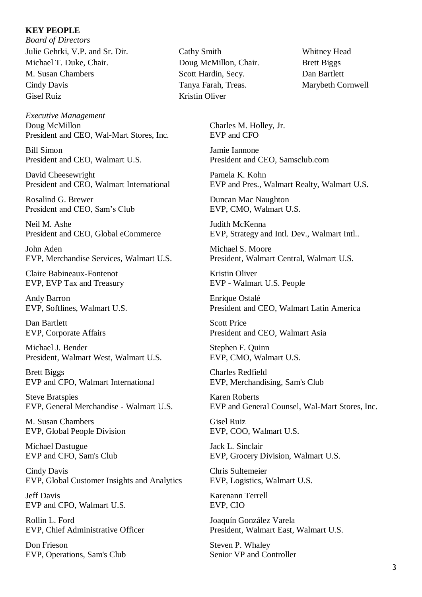#### **KEY PEOPLE**

*Board of Directors* Julie Gehrki, V.P. and Sr. Dir. Cathy Smith Whitney Head Michael T. Duke, Chair. Doug McMillon, Chair. Brett Biggs M. Susan Chambers Scott Hardin, Secy. Dan Bartlett Cindy Davis Tanya Farah, Treas. Marybeth Cornwell Gisel Ruiz Kristin Oliver

*Executive Management* Doug McMillon Charles M. Holley, Jr. President and CEO, Wal-Mart Stores, Inc. EVP and CFO

Bill Simon Jamie Iannone

David Cheesewright Pamela K. Kohn

Rosalind G. Brewer Duncan Mac Naughton President and CEO, Sam's Club EVP, CMO, Walmart U.S.

Neil M. Ashe Judith McKenna

John Aden Michael S. Moore EVP, Merchandise Services, Walmart U.S. President, Walmart Central, Walmart U.S.

Claire Babineaux-Fontenot Kristin Oliver EVP, EVP Tax and Treasury EVP - Walmart U.S. People

Andy Barron Enrique Ostalé

Dan Bartlett Scott Price

Michael J. Bender Stephen F. Quinn President, Walmart West, Walmart U.S. EVP, CMO, Walmart U.S.

Brett Biggs Charles Redfield EVP and CFO, Walmart International EVP, Merchandising, Sam's Club

Steve Bratspies Karen Roberts<br>EVP. General Merchandise - Walmart U.S. EVP and Gene

M. Susan Chambers Gisel Ruiz EVP, Global People Division EVP, COO, Walmart U.S.

Michael Dastugue Jack L. Sinclair

Cindy Davis Chris Sultemeier EVP, Global Customer Insights and Analytics EVP, Logistics, Walmart U.S.

Jeff Davis Karenann Terrell EVP and CFO, Walmart U.S. EVP, CIO

Rollin L. Ford Joaquín González Varela

Don Frieson Steven P. Whaley EVP, Operations, Sam's Club Senior VP and Controller

President and CEO, Walmart U.S. President and CEO, Samsclub.com

President and CEO, Walmart International EVP and Pres., Walmart Realty, Walmart U.S.

President and CEO, Global eCommerce EVP, Strategy and Intl. Dev., Walmart Intl..

EVP, Softlines, Walmart U.S. President and CEO, Walmart Latin America

EVP, Corporate Affairs President and CEO, Walmart Asia

EVP and General Counsel, Wal-Mart Stores, Inc.

EVP and CFO, Sam's Club EVP, Grocery Division, Walmart U.S.

EVP, Chief Administrative Officer President, Walmart East, Walmart U.S.